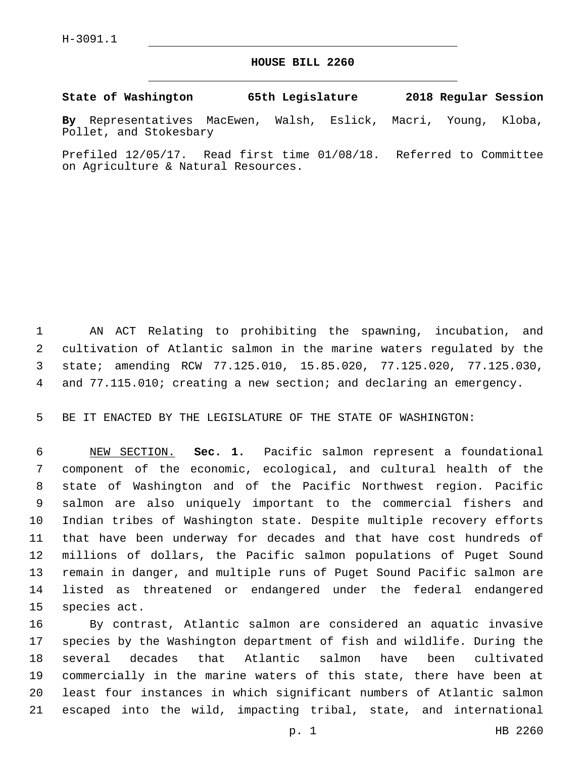## **HOUSE BILL 2260**

**State of Washington 65th Legislature 2018 Regular Session**

**By** Representatives MacEwen, Walsh, Eslick, Macri, Young, Kloba, Pollet, and Stokesbary

Prefiled 12/05/17. Read first time 01/08/18. Referred to Committee on Agriculture & Natural Resources.

 AN ACT Relating to prohibiting the spawning, incubation, and cultivation of Atlantic salmon in the marine waters regulated by the state; amending RCW 77.125.010, 15.85.020, 77.125.020, 77.125.030, and 77.115.010; creating a new section; and declaring an emergency.

BE IT ENACTED BY THE LEGISLATURE OF THE STATE OF WASHINGTON:

 NEW SECTION. **Sec. 1.** Pacific salmon represent a foundational component of the economic, ecological, and cultural health of the state of Washington and of the Pacific Northwest region. Pacific salmon are also uniquely important to the commercial fishers and Indian tribes of Washington state. Despite multiple recovery efforts that have been underway for decades and that have cost hundreds of millions of dollars, the Pacific salmon populations of Puget Sound remain in danger, and multiple runs of Puget Sound Pacific salmon are listed as threatened or endangered under the federal endangered species act.

 By contrast, Atlantic salmon are considered an aquatic invasive species by the Washington department of fish and wildlife. During the several decades that Atlantic salmon have been cultivated commercially in the marine waters of this state, there have been at least four instances in which significant numbers of Atlantic salmon escaped into the wild, impacting tribal, state, and international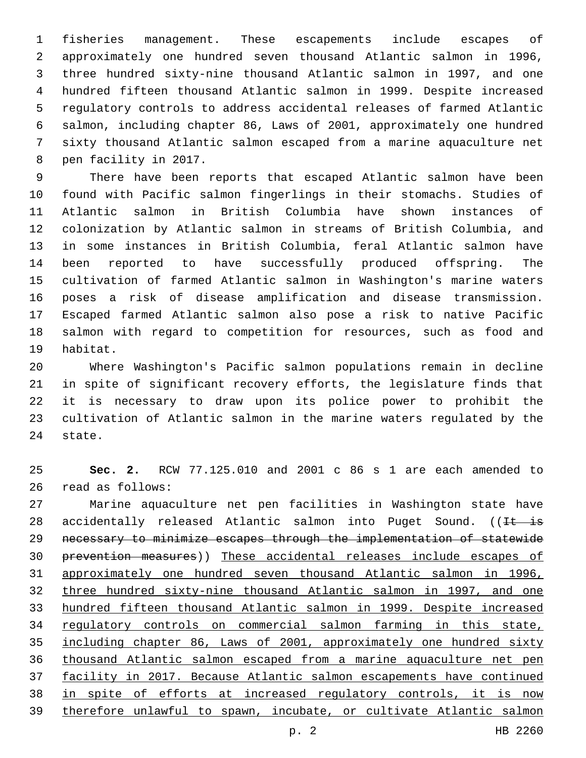fisheries management. These escapements include escapes of approximately one hundred seven thousand Atlantic salmon in 1996, three hundred sixty-nine thousand Atlantic salmon in 1997, and one hundred fifteen thousand Atlantic salmon in 1999. Despite increased regulatory controls to address accidental releases of farmed Atlantic salmon, including chapter 86, Laws of 2001, approximately one hundred sixty thousand Atlantic salmon escaped from a marine aquaculture net 8 pen facility in 2017.

 There have been reports that escaped Atlantic salmon have been found with Pacific salmon fingerlings in their stomachs. Studies of Atlantic salmon in British Columbia have shown instances of colonization by Atlantic salmon in streams of British Columbia, and in some instances in British Columbia, feral Atlantic salmon have been reported to have successfully produced offspring. The cultivation of farmed Atlantic salmon in Washington's marine waters poses a risk of disease amplification and disease transmission. Escaped farmed Atlantic salmon also pose a risk to native Pacific salmon with regard to competition for resources, such as food and 19 habitat.

 Where Washington's Pacific salmon populations remain in decline in spite of significant recovery efforts, the legislature finds that it is necessary to draw upon its police power to prohibit the cultivation of Atlantic salmon in the marine waters regulated by the 24 state.

 **Sec. 2.** RCW 77.125.010 and 2001 c 86 s 1 are each amended to 26 read as follows:

 Marine aquaculture net pen facilities in Washington state have 28 accidentally released Atlantic salmon into Puget Sound. ( $I<sup>t</sup>$  is necessary to minimize escapes through the implementation of statewide prevention measures)) These accidental releases include escapes of approximately one hundred seven thousand Atlantic salmon in 1996, three hundred sixty-nine thousand Atlantic salmon in 1997, and one hundred fifteen thousand Atlantic salmon in 1999. Despite increased regulatory controls on commercial salmon farming in this state, including chapter 86, Laws of 2001, approximately one hundred sixty thousand Atlantic salmon escaped from a marine aquaculture net pen facility in 2017. Because Atlantic salmon escapements have continued in spite of efforts at increased regulatory controls, it is now therefore unlawful to spawn, incubate, or cultivate Atlantic salmon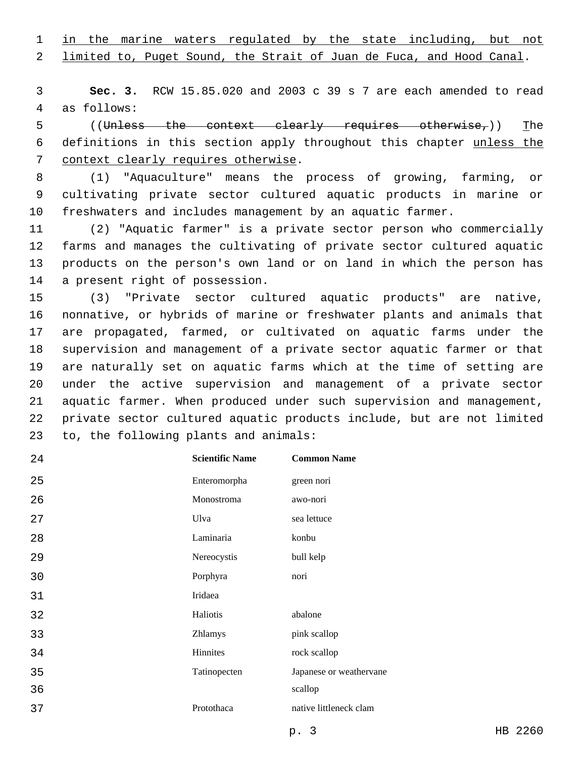in the marine waters regulated by the state including, but not

limited to, Puget Sound, the Strait of Juan de Fuca, and Hood Canal.

 **Sec. 3.** RCW 15.85.020 and 2003 c 39 s 7 are each amended to read 4 as follows:

 ((Unless the context clearly requires otherwise,)) The definitions in this section apply throughout this chapter unless the 7 context clearly requires otherwise.

 (1) "Aquaculture" means the process of growing, farming, or cultivating private sector cultured aquatic products in marine or freshwaters and includes management by an aquatic farmer.

 (2) "Aquatic farmer" is a private sector person who commercially farms and manages the cultivating of private sector cultured aquatic products on the person's own land or on land in which the person has 14 a present right of possession.

 (3) "Private sector cultured aquatic products" are native, nonnative, or hybrids of marine or freshwater plants and animals that are propagated, farmed, or cultivated on aquatic farms under the supervision and management of a private sector aquatic farmer or that are naturally set on aquatic farms which at the time of setting are under the active supervision and management of a private sector aquatic farmer. When produced under such supervision and management, private sector cultured aquatic products include, but are not limited 23 to, the following plants and animals:

| 24 | <b>Scientific Name</b> | <b>Common Name</b>      |
|----|------------------------|-------------------------|
| 25 | Enteromorpha           | green nori              |
| 26 | Monostroma             | awo-nori                |
| 27 | Ulva                   | sea lettuce             |
| 28 | Laminaria              | konbu                   |
| 29 | Nereocystis            | bull kelp               |
| 30 | Porphyra               | nori                    |
| 31 | Iridaea                |                         |
| 32 | Haliotis               | abalone                 |
| 33 | Zhlamys                | pink scallop            |
| 34 | Hinnites               | rock scallop            |
| 35 | Tatinopecten           | Japanese or weathervane |
| 36 |                        | scallop                 |
| 37 | Protothaca             | native littleneck clam  |
|    |                        |                         |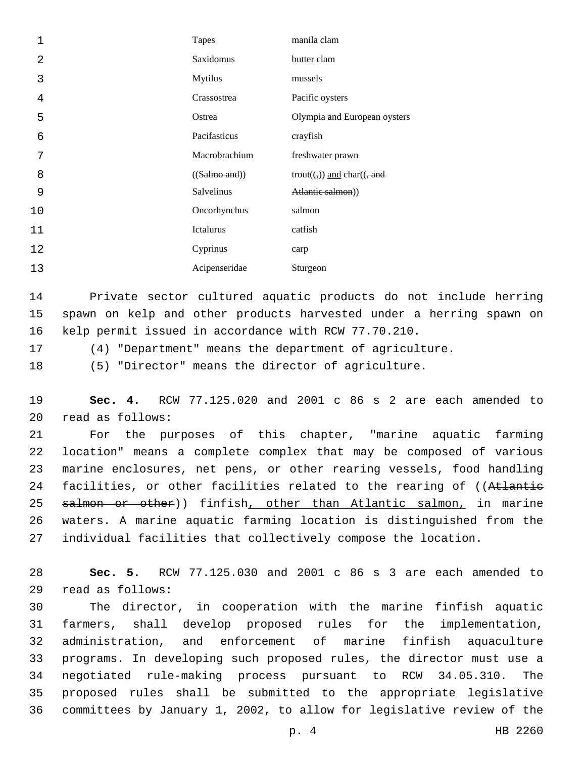| 1  | <b>Tapes</b>   | manila clam                                                           |
|----|----------------|-----------------------------------------------------------------------|
| 2  | Saxidomus      | butter clam                                                           |
| 3  | <b>Mytilus</b> | mussels                                                               |
| 4  | Crassostrea    | Pacific oysters                                                       |
| 5  | Ostrea         | Olympia and European oysters                                          |
| 6  | Pacifasticus   | crayfish                                                              |
| 7  | Macrobrachium  | freshwater prawn                                                      |
| 8  | ((Salmo and))  | trout( $\left(\frac{1}{2}\right)$ ) and char( $\left(\frac{1}{2}$ and |
| 9  | Salvelinus     | Atlantic salmon))                                                     |
| 10 | Oncorhynchus   | salmon                                                                |
| 11 | Ictalurus      | catfish                                                               |
| 12 | Cyprinus       | carp                                                                  |
| 13 | Acipenseridae  | Sturgeon                                                              |

 Private sector cultured aquatic products do not include herring spawn on kelp and other products harvested under a herring spawn on kelp permit issued in accordance with RCW 77.70.210.

(4) "Department" means the department of agriculture.

(5) "Director" means the director of agriculture.

 **Sec. 4.** RCW 77.125.020 and 2001 c 86 s 2 are each amended to read as follows:20

 For the purposes of this chapter, "marine aquatic farming location" means a complete complex that may be composed of various marine enclosures, net pens, or other rearing vessels, food handling 24 facilities, or other facilities related to the rearing of ((Atlantie 25 salmon or other)) finfish, other than Atlantic salmon, in marine waters. A marine aquatic farming location is distinguished from the individual facilities that collectively compose the location.

 **Sec. 5.** RCW 77.125.030 and 2001 c 86 s 3 are each amended to read as follows:29

 The director, in cooperation with the marine finfish aquatic farmers, shall develop proposed rules for the implementation, administration, and enforcement of marine finfish aquaculture programs. In developing such proposed rules, the director must use a negotiated rule-making process pursuant to RCW 34.05.310. The proposed rules shall be submitted to the appropriate legislative committees by January 1, 2002, to allow for legislative review of the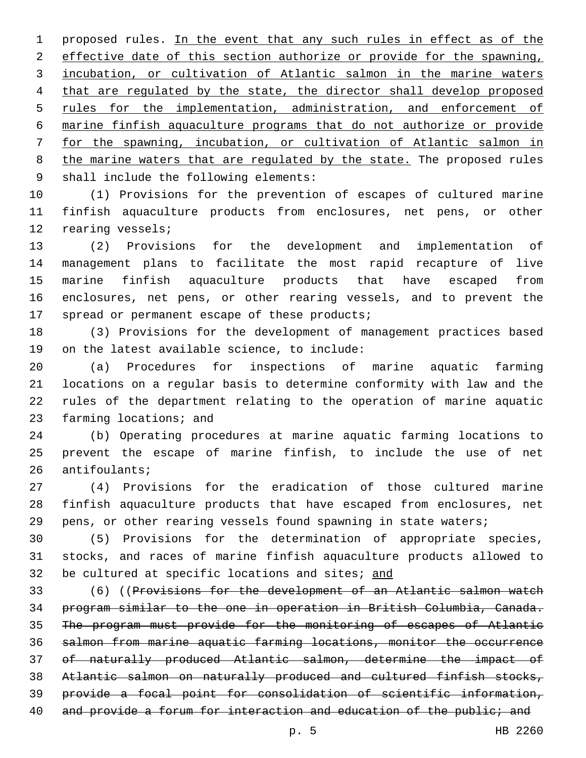proposed rules. In the event that any such rules in effect as of the 2 effective date of this section authorize or provide for the spawning, incubation, or cultivation of Atlantic salmon in the marine waters that are regulated by the state, the director shall develop proposed 5 rules for the implementation, administration, and enforcement of marine finfish aquaculture programs that do not authorize or provide for the spawning, incubation, or cultivation of Atlantic salmon in 8 the marine waters that are regulated by the state. The proposed rules 9 shall include the following elements:

 (1) Provisions for the prevention of escapes of cultured marine finfish aquaculture products from enclosures, net pens, or other 12 rearing vessels;

 (2) Provisions for the development and implementation of management plans to facilitate the most rapid recapture of live marine finfish aquaculture products that have escaped from enclosures, net pens, or other rearing vessels, and to prevent the 17 spread or permanent escape of these products;

 (3) Provisions for the development of management practices based 19 on the latest available science, to include:

 (a) Procedures for inspections of marine aquatic farming locations on a regular basis to determine conformity with law and the rules of the department relating to the operation of marine aquatic 23 farming locations; and

 (b) Operating procedures at marine aquatic farming locations to prevent the escape of marine finfish, to include the use of net 26 antifoulants;

 (4) Provisions for the eradication of those cultured marine finfish aquaculture products that have escaped from enclosures, net pens, or other rearing vessels found spawning in state waters;

 (5) Provisions for the determination of appropriate species, stocks, and races of marine finfish aquaculture products allowed to 32 be cultured at specific locations and sites; and

 (6) ((Provisions for the development of an Atlantic salmon watch program similar to the one in operation in British Columbia, Canada. The program must provide for the monitoring of escapes of Atlantic salmon from marine aquatic farming locations, monitor the occurrence of naturally produced Atlantic salmon, determine the impact of Atlantic salmon on naturally produced and cultured finfish stocks, provide a focal point for consolidation of scientific information, 40 and provide a forum for interaction and education of the public; and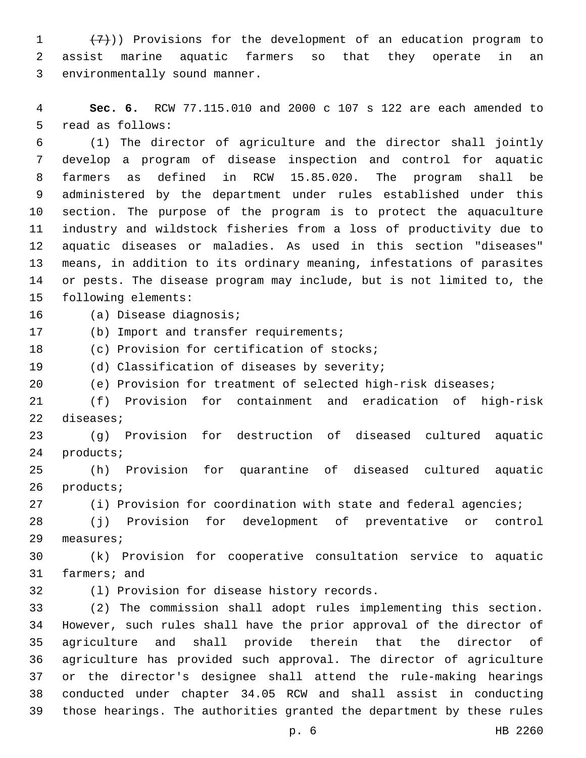$(7)$ )) Provisions for the development of an education program to assist marine aquatic farmers so that they operate in an 3 environmentally sound manner.

 **Sec. 6.** RCW 77.115.010 and 2000 c 107 s 122 are each amended to 5 read as follows:

 (1) The director of agriculture and the director shall jointly develop a program of disease inspection and control for aquatic farmers as defined in RCW 15.85.020. The program shall be administered by the department under rules established under this section. The purpose of the program is to protect the aquaculture industry and wildstock fisheries from a loss of productivity due to aquatic diseases or maladies. As used in this section "diseases" means, in addition to its ordinary meaning, infestations of parasites or pests. The disease program may include, but is not limited to, the 15 following elements:

16 (a) Disease diagnosis;

17 (b) Import and transfer requirements;

18 (c) Provision for certification of stocks;

19 (d) Classification of diseases by severity;

(e) Provision for treatment of selected high-risk diseases;

 (f) Provision for containment and eradication of high-risk 22 diseases;

 (g) Provision for destruction of diseased cultured aquatic 24 products;

 (h) Provision for quarantine of diseased cultured aquatic 26 products;

(i) Provision for coordination with state and federal agencies;

 (j) Provision for development of preventative or control 29 measures;

 (k) Provision for cooperative consultation service to aquatic 31 farmers; and

(l) Provision for disease history records.32

 (2) The commission shall adopt rules implementing this section. However, such rules shall have the prior approval of the director of agriculture and shall provide therein that the director of agriculture has provided such approval. The director of agriculture or the director's designee shall attend the rule-making hearings conducted under chapter 34.05 RCW and shall assist in conducting those hearings. The authorities granted the department by these rules

p. 6 HB 2260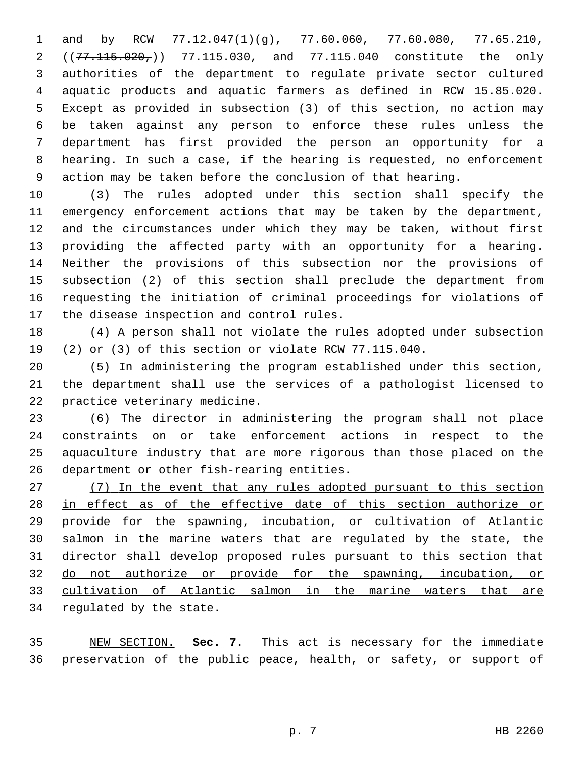and by RCW 77.12.047(1)(g), 77.60.060, 77.60.080, 77.65.210, 2 ( $(77.115.020, )$  77.115.030, and 77.115.040 constitute the only authorities of the department to regulate private sector cultured aquatic products and aquatic farmers as defined in RCW 15.85.020. Except as provided in subsection (3) of this section, no action may be taken against any person to enforce these rules unless the department has first provided the person an opportunity for a hearing. In such a case, if the hearing is requested, no enforcement action may be taken before the conclusion of that hearing.

 (3) The rules adopted under this section shall specify the emergency enforcement actions that may be taken by the department, and the circumstances under which they may be taken, without first providing the affected party with an opportunity for a hearing. Neither the provisions of this subsection nor the provisions of subsection (2) of this section shall preclude the department from requesting the initiation of criminal proceedings for violations of 17 the disease inspection and control rules.

 (4) A person shall not violate the rules adopted under subsection (2) or (3) of this section or violate RCW 77.115.040.

 (5) In administering the program established under this section, the department shall use the services of a pathologist licensed to 22 practice veterinary medicine.

 (6) The director in administering the program shall not place constraints on or take enforcement actions in respect to the aquaculture industry that are more rigorous than those placed on the 26 department or other fish-rearing entities.

 (7) In the event that any rules adopted pursuant to this section 28 in effect as of the effective date of this section authorize or provide for the spawning, incubation, or cultivation of Atlantic salmon in the marine waters that are regulated by the state, the director shall develop proposed rules pursuant to this section that do not authorize or provide for the spawning, incubation, or cultivation of Atlantic salmon in the marine waters that are regulated by the state.

 NEW SECTION. **Sec. 7.** This act is necessary for the immediate preservation of the public peace, health, or safety, or support of